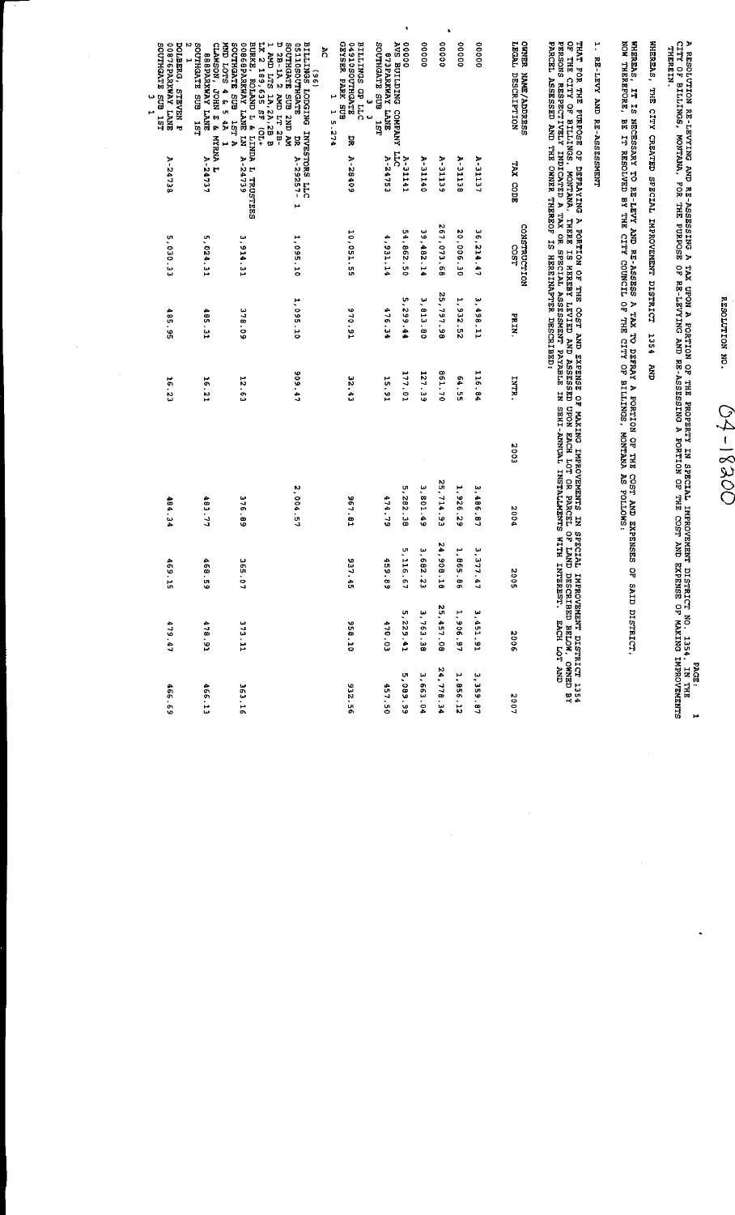RESOLUTION NO.  $04 - 1830$ 

A RESOLUTION RE-LEVYING AND RE-ASSESSING A TAX UPON A PORTION OF THE PROPERTY IN SPECIAL INPROVENENT DISTRICT NO. 1354, IN THE 1<br>CITY OF BILLINGS, MONTANA, FOR THE PURPOSE OF RE-LEVYING AND RE-ASSESSING A PORTION OF THE CO

WHEREAS, THE CITY CREATED SPECIAL IMPROVEMENT DISTRICT 1354 AND

WHEREAS, IT IS NECESSARY TO RE-LEVY AND RE-ASSESS A TAX TO DEFRAY A PORTION OF THE COST AND EXPENSES OF SAID DISTRICT,<br>NOW THEREFORE, BE IT RESOLVED BY THE CITY COUNCIL OF THE CITY OP BILLINGS, MONTANA AS FOLLOWS:

## 1. RE-LEVY AND RE-ASSESSMENT

THAT FOR THE FURFOSE OF DEFRAYING A PORTION OF THE COST AND EXPENSE OF MAKING INPROVEMENTS IN SPECIAL INFROVEMENT DISTRICT 1354<br>OF THE CITY OF BILLINGS, MONTANA, THERE IS HEREBY LEVIED AND ASSESSED UPON EACH LOT OR PARCEL

| SOUTHGATE SUB 15T<br><b>GOSTSPARKWAY LANE</b><br>POLBERG, STRVEN P | SOUTHGATE SUB<br>CLAWSON, JOHN & MYRNA L<br>MND LOTS 4 & 5 4A<br><b>BBBPARKWAY LANE</b><br>15L | BURKE, ROLAND L & LINDA L TRUSTEES<br>00066BPARKWAY LANE LN A-24739<br>SOUTHGATE SUB 127 A<br>LX 2 189,635 SF (OL+<br>I AMD LTS 1A, 2A, 2B B | <b>DS-1A 2 AMD LT 2B-</b><br>MA CHS SUB STACHTOS<br>SITCHLOSOLISO<br>BILLINGS LODGING INVESTORS LLC<br>$\frac{6}{96}$<br>ă | GEYSER PARK SUB<br>G4910SOUTHGATE<br><b>DTT JOB SP TTTE</b><br>Ř<br>پ<br>15.274<br><u>س</u><br>ă | AVS BUILDING COMPANY LLC<br>SOCTHGATE SUB<br>STARI YANXRASTB<br>1ST | 00000<br>00000                  | 00000      | 00000          | 00000     | LECAL DESCRIPTION<br><b>ORNER NAME/ADDRESS</b> |
|--------------------------------------------------------------------|------------------------------------------------------------------------------------------------|----------------------------------------------------------------------------------------------------------------------------------------------|----------------------------------------------------------------------------------------------------------------------------|--------------------------------------------------------------------------------------------------|---------------------------------------------------------------------|---------------------------------|------------|----------------|-----------|------------------------------------------------|
| A-24738                                                            | A-24737                                                                                        |                                                                                                                                              | $A - 29257 - 1$                                                                                                            | A-28409                                                                                          | A-24753                                                             | A-31141<br>A-31140              | A-31139    | <b>A-31138</b> | A-31127   | TAX CODE                                       |
| 5,030.33                                                           | 5,024.31                                                                                       | 3,914.31                                                                                                                                     | 1,095.10                                                                                                                   | 10,051.55                                                                                        | 4,931.14                                                            | 54,862.50<br>39,482.14          | 267,073.68 | 20,006.30      | 36,214.47 | CONSTRUCTION<br>COST                           |
| 485.95                                                             | 485.31                                                                                         | 378.09                                                                                                                                       | 1,095.10                                                                                                                   | 16'046                                                                                           | 476.34                                                              | 5, 299, 44<br>3,813.80          | 25, 797.98 | 1,932.52       | 1,498.11  | NI Ho                                          |
| 16.23                                                              | 16.21                                                                                          | 12.62                                                                                                                                        | 909.47                                                                                                                     | <b>32.43</b>                                                                                     | 15.91                                                               | 177.01<br>127.39                | 861.70     | 54.55          | 116.84    | <b>TALK:</b>                                   |
|                                                                    |                                                                                                |                                                                                                                                              |                                                                                                                            |                                                                                                  |                                                                     |                                 |            |                |           | 2003                                           |
| 484.34                                                             | 483.77                                                                                         | <b>16.89</b>                                                                                                                                 | 2,004.57                                                                                                                   | 567.81                                                                                           | 474.79                                                              | 5,282.38<br>3,801.49            | 25,714.93  | 1,926.29       | 3,486.87  | 2004                                           |
| 696<br>ă                                                           | 468<br>.<br>เจ                                                                                 | šes.<br>$\frac{1}{2}$                                                                                                                        |                                                                                                                            | 937.45                                                                                           | 459.<br>$\frac{1}{6}$                                               | 5,116.67<br>3.682<br>$\ddot{3}$ | 24,908.18  | 1,865.86       | 3, 377.47 | 300Z                                           |
| 479.47                                                             | $4 - 8.91$                                                                                     | 313.11                                                                                                                                       |                                                                                                                            | 958.10                                                                                           | 470.03                                                              | 3,763.38<br>5,229.41            | 25,457.08  | 1,906.97       | 3,451.91  | 3002                                           |
| 466.69                                                             | 466.13                                                                                         | 36.3.16                                                                                                                                      |                                                                                                                            | 932.56                                                                                           | 457.50                                                              | 3,663.04<br>66'680'S            | 24,778.34  | 1,856.12       | 3,359.87  | 2007                                           |

 $\ddot{\phantom{a}}$ 

 $\ddot{\phantom{0}}$ 

 $\ddot{\phantom{0}}$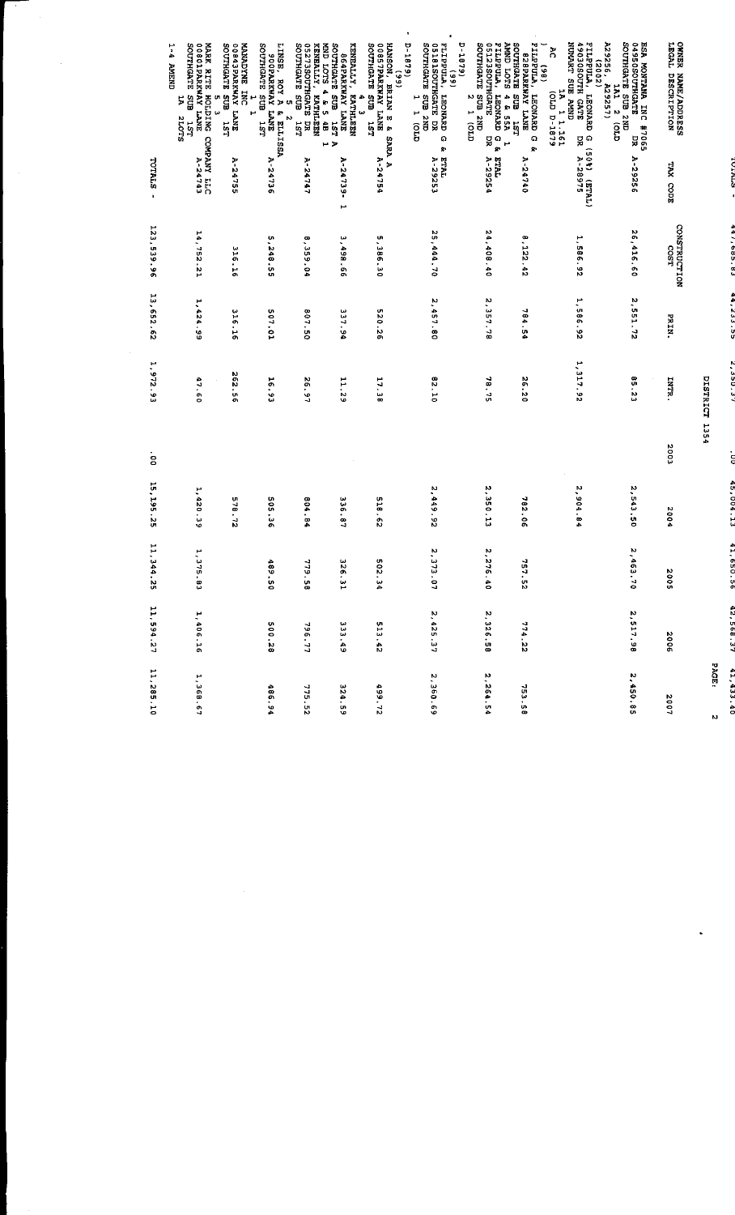|                                                                                                                                                                                | <b>CONTRACT</b>                      | きっこい                    | e incein                   | i    | よいこ くみ・トレ   | <b>*********</b>            | $c \cdot a$ of $z =$ | PAGE:<br>$0 + 25 + 17$<br>$\mathbf{M}$ |
|--------------------------------------------------------------------------------------------------------------------------------------------------------------------------------|--------------------------------------|-------------------------|----------------------------|------|-------------|-----------------------------|----------------------|----------------------------------------|
|                                                                                                                                                                                |                                      |                         | <b>DISTRICT 1354</b>       |      |             |                             |                      |                                        |
| <b>OWNER NAME/ADDRESS</b><br>LEGAL DESCRIPTION<br>TAX CODE                                                                                                                     | CONSTRUCTION<br>LSO <sub>2</sub>     | PRIN.                   | TNTR.                      | 2003 | 2004        | N<br>500                    | 3002                 | 2007                                   |
| 239256.<br>O4950SOUTHGATE<br>O) z TVT<br>CNZ ELS SLVDHLLOS<br>ESA MONTANA INC #7065<br>A29257)<br>δg<br>Ε<br>PК<br>A-29256                                                     | 26,416.60                            | 2,551.72                | 85.23                      |      | 2,543.50    | 2,463<br>$\ddot{a}$         | 2 517.98             | 2,450.85                               |
| <b>ASSOSOUTH GATE</b><br>NUMART SUE AMND<br>WINDENTY<br>ă<br>(2002)<br>7<br>14 1.151.<br>191.1.1919<br><b>ILEONARD</b><br>ក<br>ដ<br>(405)<br>50%) (ETAL)<br>A-28975            | 1,586.92                             | 1,586.92                | 1 317.92                   |      | 2,904.84    |                             |                      |                                        |
| <b>SIOT CINNY</b><br><b>SOUTHGATE</b><br>PILPPULA,<br>LEONARY LEONARD<br>828PARKWAY LANE<br>(86)<br>SUB 1.97<br>4 & 55A<br><b>JSL</b><br>$\Omega$<br>بو ا<br>ğ.<br>$A - 24740$ | ۳<br>122.42                          | 784.54                  | 26.20                      |      | 782.06      | <b>757.52</b>               | 774.22               | 753.58                                 |
| D-1879)<br>FILPPULA, LEONA<br>051235OUTHGATE<br>SOUTHGATE SUB 21<br>LEONARD G &<br>្លួង<br>٣<br>ă<br>Gro<br>ă<br>TVIE<br>A-29254                                               | 24,408.40                            | 2,357.78                | 18.75                      |      | 2,350.13    | 2,276.40                    | 2.326.58             | 2,264.54                               |
| 0-1879)<br>(99)<br>LEDRULA, LEONA<br>LEONINGATE I<br>SOUTHGATE SUB 21<br>្អ្ពី<br><b>LEONARD</b><br>H<br>ង<br>មី<br>ă<br>qno)<br>G)<br>Ŷ.<br>ETAL<br>A-29253                   | 25,444.70                            | 2,457.80                | 62.10                      |      | 2,449.92    | 2.373<br>$\frac{1}{2}$      | 2, 425.37            | 2,360.69                               |
| HANSON, BRIAN E &<br>2008<br>SOUTHGATE SUB 1.57<br>(66)<br>٠<br>ω<br><b>LST</b><br><b>SARA A</b><br>A-2475<br>٠                                                                | UR.<br>985'<br>$\mathfrak{c}$        | <b>UT</b><br>20.2<br>o. | 17.38                      |      | 518.62      | 502<br>.<br>44              | 513.42               | 499.72                                 |
| SOUTHGATE SUB<br>RUS STOL GWN<br>KENENLLY,<br>SNYT AVANANG798<br>KATHLEN<br>u<br>å<br><b>IST</b><br>$\overline{\phantom{a}}$<br>H<br>A-24739<br>Н                              | ω<br>1499.66                         | 337.94                  | 11.29                      |      | 336.87      | 326<br>ن<br>1               | 333.49               | 324.59                                 |
| <b>KENEALY, KATHLI<br/>1 STAGOTTIGATE I<br/>50UTHGATE SUB</b><br>KATHLEEN<br>HGATE DR<br>3 SUB 1ST<br><b>u</b><br>Ń<br>۳<br>24747                                              | $\boldsymbol{\infty}$<br>۰<br>359.04 | 807.50                  | 26.97                      |      | 804.84      | <b>SLL</b><br>$\frac{1}{2}$ | 796.77               | 775.52                                 |
| SOUTHGATE SUB<br>LINSE,<br>NSE, ROY A & ELLISSA<br>900PARKWAY LANE<br>Н<br><b>151</b><br>A-24736                                                                               | m<br>,248.55                         | 507.01                  | 16.93                      |      | 505.36      | 489<br>.<br>OS              | 500.28               | 486.94                                 |
| MANDYNE INC<br>SURRENT YANE<br>SOUTHGATE SUB<br>SOUTHGATE SUB<br>ω<br>A-24755                                                                                                  | $\frac{6}{5}$<br>$5^{\circ}$         | 316.16                  | N<br>$\frac{62.5}{5}$<br>o |      | U.<br>78.72 |                             |                      |                                        |
| $\frac{1}{2}$<br><b>ST BOS BACKER TANE</b><br>MARK RITE HOLDING<br><b>CINENT</b><br>ជាន<br>5<br>SLOTZ<br><b>LST</b><br>C5752-Y<br>DTI XXYENOO                                  | 14,752.21                            | 1,424.99                | 47.60                      |      | 1,420.39    | 1,375<br>់ខ្ល               | 1,406.16             | 1,368.67                               |
| <b>TOTALS</b><br>$\mathbf{I}$                                                                                                                                                  | 123,539.96                           | 13,652.62               | 1.972.93                   | ė    | 15, 195. 25 | 11,344<br>ä                 | 11,594.27            | 11,285.10                              |
|                                                                                                                                                                                |                                      |                         |                            |      |             |                             |                      |                                        |

Τ

 $\frac{1}{2}$ 

 $\label{eq:2.1} \frac{1}{\sqrt{2}}\int_{0}^{\infty}\frac{1}{\sqrt{2\pi}}\left(\frac{1}{\sqrt{2\pi}}\right)^{2}d\mu\,d\mu\,.$ 

 $\frac{1}{2}$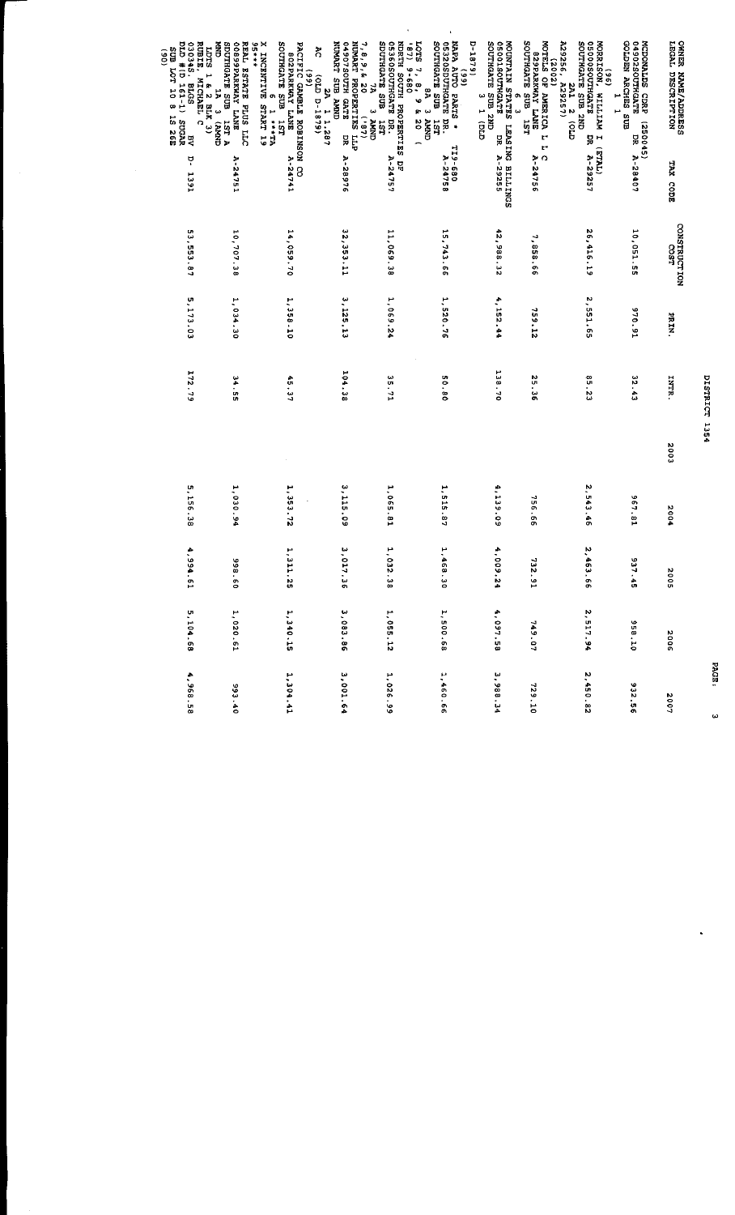| OWNER NAME/ADDEESS<br>LEGAL DESCRIPTION<br>04902SOUTHGATE<br>MCDONALDS CDRP (250045)<br>DR                                                                        | A-28407<br>TAX CODE | CONSTRUCTION<br>10,051.55<br>COST | 16.016<br>PRIN. | 32.43<br><b>INTR.</b> | 2003 | 567.81<br>2004 | 937.45<br>2002 | 958.10<br>2006 | 932.56<br>2007 |
|-------------------------------------------------------------------------------------------------------------------------------------------------------------------|---------------------|-----------------------------------|-----------------|-----------------------|------|----------------|----------------|----------------|----------------|
| A29256, A29257)<br>A29256, A29257)<br>GNZ ENS ELES DRILOS<br>MORRISON, WILLIAM I<br>SOOSOOTHGATE<br>(96)<br>$\overline{1}$<br>ă<br>(TUL3)                         | A-29257             | 26, 416.19                        | 2 551.65        | <b>85.23</b>          |      | 2,543.46       | 2 463 66       | 2, 517.94      | 2,450.82       |
| SOUTHGATE SUB<br>MOTELS OF AMERICA L<br>SZPARKWAY LANE<br>(2002)<br>LST.<br>M<br>$\Omega$                                                                         | A-24756             | r,<br>93 858                      | <b>21 654</b>   | 35.36                 |      | 756.66         | 732.91         | 749.07         | 729.10         |
| G) I f<br>GNZ ENS SLYDHLOS<br>MOUNTAIN STATES LEASING BILINGS<br>SSO1SOUTHCATE<br>ø<br>ω<br>ក្នុង<br>DR.                                                          | A 29255             | 42,988.32                         | 4,152.44        | 138.70                |      | 4,139.09       | 4,009.24       | 4,097.58       | 3,988.34       |
| $10T$ 3<br>SOUTHGATE SUB<br>05320SDUTHGATE DR.<br>NAPA AUTO PARTS *<br>1979.1-1<br>$\frac{66}{3}$<br>š<br><b>GNUNY E</b><br>151<br>∽<br>TI9-680                   | A-24758             | 15,743.66                         | 1,520.76        | 08.05                 |      | 1,515.87       | 1,468.30       | 1,500.68       | 1,460.66       |
| SDUTHGATE SUB<br>05360SOUTHGATE DR.<br>NDRTH SOUTH PROPERTEE DF<br>(48)<br>7, 8, 9, 6, 20<br>7. 8, 9 & 20<br>9-680<br>$(18.7)$<br>CINIFY $\epsilon$<br><b>13L</b> | A-24757             | 11,069.38                         | 1,069.24        | 35.71                 |      | 1,065.81       | 1,032.38       | 1,055.12       | 1,026.99       |
| NUMART PROPERTIES LLP<br>NUMART PROPERTIES LLP<br>O4907SOUTH GATE<br>TIVARY SUB AMAIN<br>៊ី<br>(6481-4 473)<br>Ş<br>1 1.287                                       | A-28976             | 32,353.11                         | 3.125.13        | 104.38                |      | 3,115.09       | 3 017.36       | 3,083.86       | 3,001.6        |
| SOUTHGATE SUB<br>X INCENTIVE<br>N<br>PACIFIC GAMBLE ROBINSON CO<br>SNAL YAWRENGS<br>Ŝ<br><b>START 19</b>                                                          | A-24741             | 14,059.70                         | 1,358.10        | 45.37                 |      | 1,353.72       | 1 311 25       | 1.340.15       | 1,304.41       |
| REAL ESTATE PLUS LLC<br>14456<br><b>GNEX</b><br>SDUTHGATE SUB<br>SUPPLEXERAT LANE<br>$\sharp$<br><b>E</b><br><b>CONVE</b><br>CONVE                                | A-24751             | 10,707.38                         | 1,034.30        | $53 + 55$             |      | 1,030.94       | 09 866         | 1,020.61       | 07 666         |
| <b>1925 ST 8 OT LOT EIS<br/>2020 2021 2021 2022 2033</b><br>2021 2021 2022 2023 2024<br>RUBIE,<br>LDTS 1 & 2 BLK 3)<br>KUBIE, MICHAEL C<br>ņ                      | <b>1391</b>         | 53,553.87                         | 5, 173, 03      | 172.79                |      | 5,156.38       | 4,994.61       | 5,104.68       | 4,968.58       |

DISTRICT 1354

PAGE:

်<br>မ

 $\ddot{\phantom{a}}$ 

 $(06)$ 

j,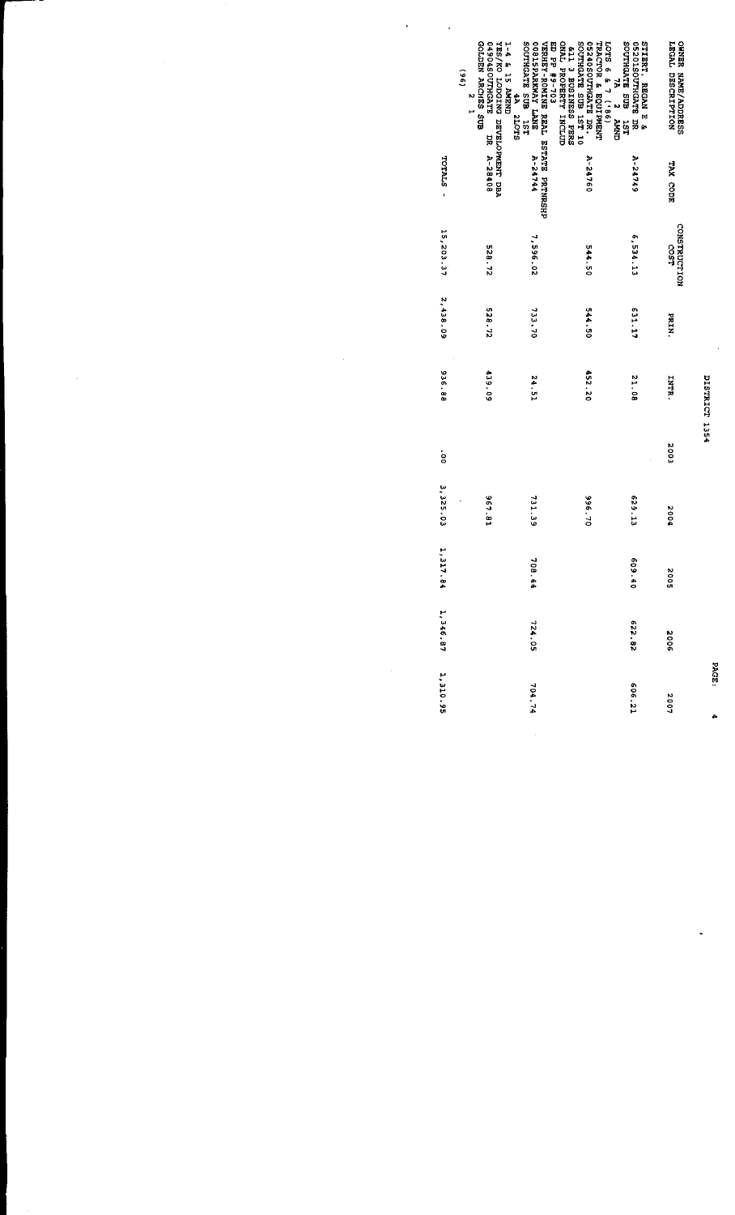|             | GOLDEN ARCHES SUB<br>O4904SOUTHGATE<br>VES/KO LODGING DEVELOPMENT DEA<br>SOUTHGATE SUB 1ST<br>4A 2LOTS<br>1-4 & 15 AMEND<br>$\overline{6}$<br>$\ddot{\phantom{0}}$ | ED PP + 90XHNA BENNIN BENNER-FORTENER<br>UNEXERITE BENNIN BENNIN PENNER-FOR<br><b>DOSISPARKWAY LANE</b><br>CNAL PROPERTY INCLUD | SNES SCRIBUB 127 10<br>SNES SUBINESS PERS<br>7A 2 AMND<br>LOTS 6 & 7 ('86)<br>TRACTOR & EQUIPMENT<br>05240SOUTHGATE DR. | EUS ELYOHLOS<br><b>STIRRY, REGAN E &amp;</b><br>05201SOUTHGATE DR<br><b>151</b> | <b>OWNER NAME/ADDRESS</b><br>LEGAL DESCRIPTION |
|-------------|--------------------------------------------------------------------------------------------------------------------------------------------------------------------|---------------------------------------------------------------------------------------------------------------------------------|-------------------------------------------------------------------------------------------------------------------------|---------------------------------------------------------------------------------|------------------------------------------------|
| - STYLOL    | DR A-28408                                                                                                                                                         | A-24744                                                                                                                         | A-24760                                                                                                                 | <b>A-24749</b>                                                                  | TAX CODE                                       |
| 15,203.37   | 528.72                                                                                                                                                             | 7,596.02                                                                                                                        | 544.50                                                                                                                  | 6,534.13                                                                        | CONSTRUCTION<br>COST                           |
| 2,438.09    | 528.72                                                                                                                                                             | 733.70                                                                                                                          | 0544 50                                                                                                                 | E31.17                                                                          | <b>NINE</b>                                    |
| 936.88      | 439.09                                                                                                                                                             | <b>24.51</b>                                                                                                                    | 452.20                                                                                                                  | 21.08                                                                           | <b>STATT</b>                                   |
| .<br>8      |                                                                                                                                                                    |                                                                                                                                 |                                                                                                                         |                                                                                 | 2003                                           |
| 3, 325.03   | 18.781                                                                                                                                                             | 731.39                                                                                                                          | 04 566                                                                                                                  | 629.13                                                                          | 2004                                           |
| ۳<br>317.84 |                                                                                                                                                                    | 708.44                                                                                                                          |                                                                                                                         | 609.40                                                                          | 5002                                           |
| 1,346.87    |                                                                                                                                                                    | 724.05                                                                                                                          |                                                                                                                         | 28 229                                                                          | 9002                                           |
| 1,310.95    |                                                                                                                                                                    | 704.74                                                                                                                          |                                                                                                                         | 606.21                                                                          | 2007                                           |

 $\frac{1}{2}$ 

 $\frac{1}{2}$ 

 $\frac{1}{2}$ 

Ŷ,

DISTRICT 1354

PAGE:

À,

.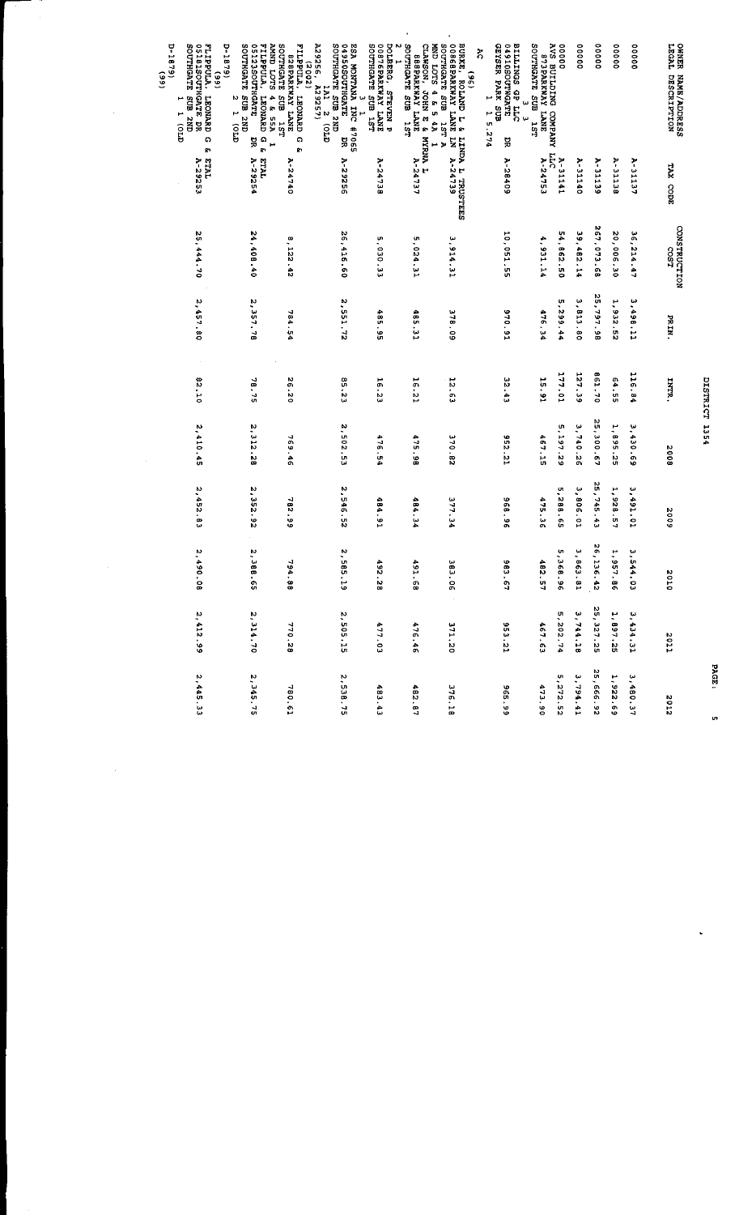| 0-1879)<br>SOUTHGATE<br><b>FLIPPULA</b>                                                                                                   | <b>SLOT CLUVE</b><br>D-1879)<br>SCUTHGATE                                                  | <b>SOUTHGATE</b><br><b>FIDEPULA</b><br>(2002)                                      | A29256                                                                                                             | DOLBERG,<br>N                                                    | $\bullet$<br>CLAWSON,<br>STOL CIAN                                                           | <b>STAGATE</b>                                                                                                          | នី                                                                                 |                                                                 | 00000           | 00000         | 00000       | 00000                     | 00000     |                                         |
|-------------------------------------------------------------------------------------------------------------------------------------------|--------------------------------------------------------------------------------------------|------------------------------------------------------------------------------------|--------------------------------------------------------------------------------------------------------------------|------------------------------------------------------------------|----------------------------------------------------------------------------------------------|-------------------------------------------------------------------------------------------------------------------------|------------------------------------------------------------------------------------|-----------------------------------------------------------------|-----------------|---------------|-------------|---------------------------|-----------|-----------------------------------------|
| <b>OSJBISOUTHGATE DR</b><br>(66)<br>$\widetilde{\mathbf{6}}$<br>LEONARD<br>ens<br>مر<br>۲<br>an<br>B<br>$\widehat{\mathbf{g}}$<br>Q<br>g, | FILPPULA, LEONARD<br>STAGHTUOSCS120<br>GNZ ENS<br>4 & 55A<br>N<br>٣<br>ទ្ជិ<br>ດ<br>ກ<br>¥ | BRADYRYMAY LANE<br>ឡាន<br><b>LEONARD</b><br>12L<br>$\boldsymbol{\mathsf{o}}$<br>Ŗ. | SOUTHGATE SUB 2ND<br>ESA MONTANA INC #7065<br>04950SOUTHGATE DR<br>A29257)<br>TVT.<br>Ψ<br>ب<br>N<br>$\widehat{G}$ | SOUTHGATE SUB 1ST<br><b>OOB76PARKWAY LANE</b><br><b>STEVEN P</b> | SOUTHGATE SUB<br>SAAL YANXARSSS<br>3 NHOL<br>4 E 5<br>1SL<br>ţ,<br>g.<br><b>VINCIAN</b><br>H | BURKE, ROLAND L & LII<br>00868PARKWAY LANE LN<br>$\begin{array}{c} \n\bullet \\ \bullet\n\end{array}$<br>ឡិ<br>131<br>Þ | GEYSTR PARK SUB<br>STADWINGO1640<br>BILINGS GP LLC<br>ب<br>ω<br>1 5.274<br>۱ú<br>덣 | AVS BUILDING COMPANY<br>S73BARKWAY LANE<br>SOUTHGATE SUB<br>151 |                 |               |             |                           |           | OWNER NAME/ADDRESS<br>LEGAL DESCRIPTION |
| <b>TYLE</b><br>A-29253                                                                                                                    | <b>L'ALL</b><br><b>A-29254</b>                                                             | 2-24740                                                                            | A-29256                                                                                                            | 8-24738                                                          | 2 - 2 4 7 3 7<br>٣                                                                           | LINDA L TRUSTEES<br><b>A-24739</b>                                                                                      | A-28409                                                                            | A-24753                                                         | A-31141<br>LLC  | $A - 31140$   | A-31139     | A-31138                   | A-31137   | TAX CODE                                |
| 25,444.70                                                                                                                                 | 24,408.40                                                                                  | œ<br>122.42                                                                        | 26,416.60                                                                                                          | U7<br><b>EE</b> .050                                             | 5,024.31                                                                                     | 3,914.31                                                                                                                | 10,051.55                                                                          | ÷,<br>931.14                                                    | 54,862.50       | 39,482.14     | 267,073.68  | 20,006.30                 | 36,214.47 | CONSTRUCTION<br>LS02                    |
| 2,457.80                                                                                                                                  | 2,357.78                                                                                   | 784<br>ùч                                                                          | 2.551.72                                                                                                           | 485.95                                                           | 485.31                                                                                       | 378.09                                                                                                                  | 970.91                                                                             | 476.34                                                          | U.<br>299.44    | 3.813.<br>e o | 25,797.98   | ۳.<br>23.52               | 1.498.11  | PRIN.                                   |
| 82.10                                                                                                                                     | $-15.75$                                                                                   | N<br>$\frac{9}{20}$                                                                | <b>SS 23</b>                                                                                                       | 16.23                                                            | 16.21                                                                                        | 12.63                                                                                                                   | 32.43                                                                              | 15.91                                                           | 177.01          | 127.39        | 861.70      | 64.55                     | 116.84    | INTR.                                   |
| 2,410.45                                                                                                                                  | 2,312.28                                                                                   | 769.46                                                                             | N<br>502.53                                                                                                        | 476.54                                                           | 475.98                                                                                       | 370.82                                                                                                                  | 952.21                                                                             | 467.15                                                          | U)<br>$-197.29$ | 3,740.26      | 25,300.67   | H<br>568<br>$\frac{1}{2}$ | 3,430.69  | 8002                                    |
| 2,452.63                                                                                                                                  | 2,352.92                                                                                   | -1<br>82.99                                                                        | 'n,<br>546.52                                                                                                      | 484.91                                                           | 484.34                                                                                       | 377.34                                                                                                                  | 96.95                                                                              | 475.36                                                          | U<br>,288.65    | 3,806.01      | 25,745.43   | 5<br>728.57               | 3,491.01  | 5002                                    |
| 2,490.08                                                                                                                                  | 2,388.65                                                                                   | 794.88                                                                             | 2,585.19                                                                                                           | 4<br>82.28                                                       | 491.68                                                                                       | 383.06                                                                                                                  | 983.67                                                                             | 482.57                                                          | 5,368.96        | 3.863.81      | 26,136.42   | 1,957.86                  | 3,544.03  | 2010                                    |
| 2.412.99                                                                                                                                  | 2, 314.70                                                                                  | 770.28                                                                             | 2 505.15                                                                                                           | 477.03                                                           | 476.46                                                                                       | 371.20                                                                                                                  | 953.21                                                                             | 467.63                                                          | 5,202.74        | 3 744.18      | 25, 327. 25 | 1.897.25                  | 3.434.31  | 2011                                    |
| 2,445.53                                                                                                                                  | 2,345.75                                                                                   | 780.61                                                                             | 2,538.75                                                                                                           | 483.43                                                           | 482.87                                                                                       | 376.18                                                                                                                  | 66.99                                                                              | 473.90                                                          | 5,272.52        | 3,794.41      | 25, 666.92  | 1,922.69                  | 3,480.37  | 2012                                    |

 $\frac{1}{2}$ 

 $\frac{1}{2}$ 

DISTRICT 1354

PAGE:

u,

L,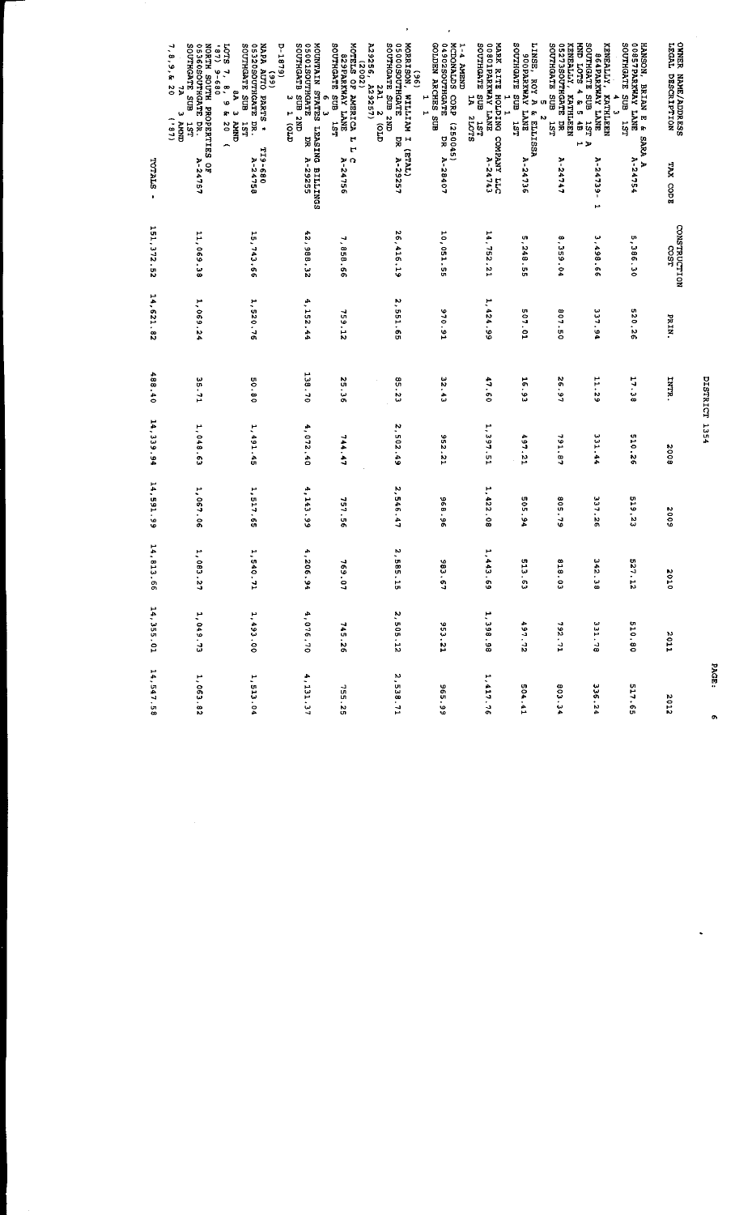|                               | ÷,                                                                                                                                                                                              |                                                                                                                                    |                                                                                                            |                                                                         | ٠                                                                                                                                                    | ٠                                                                                               |                                                                                                  |                                                                                               |                                                                                                            |                                                                                                 |                                                                                                                           |                                                             |
|-------------------------------|-------------------------------------------------------------------------------------------------------------------------------------------------------------------------------------------------|------------------------------------------------------------------------------------------------------------------------------------|------------------------------------------------------------------------------------------------------------|-------------------------------------------------------------------------|------------------------------------------------------------------------------------------------------------------------------------------------------|-------------------------------------------------------------------------------------------------|--------------------------------------------------------------------------------------------------|-----------------------------------------------------------------------------------------------|------------------------------------------------------------------------------------------------------------|-------------------------------------------------------------------------------------------------|---------------------------------------------------------------------------------------------------------------------------|-------------------------------------------------------------|
|                               | NORTH SOUTH PROPERTIES OF<br>SOUTHGATE SUB<br>O5360SOUTHGATE<br>(18)<br><b>10TS</b><br>8, 9, 8, 20<br>$9 - 6$<br>$\ddot{r}$<br>8, 98<br>$\vec{p}$<br><b>CINAN</b><br>(181)<br><b>LST</b><br>BR. | NAPA AUTO PARTS *<br>SOUTHGATE SUB<br><b>D-1879</b><br>SISSOSOUTHGATE<br>(66)<br>ę<br>$\omega$<br>$rac{2}{3}$<br><b>ISL</b><br>DR. | MOUNTAIN STATES LEASING BILLINGS<br>SOUTHGATB<br>STADHTOCI10020<br>CINZ ENS<br>ω<br>ጣ<br>T(0, T)<br>ω<br>딣 | MOTELS OF AMERICA L<br>SOUTHGATE SUB<br>SMAL YAWYRAP28<br>(2002)<br>131 | A29256, A29257)<br>MORRISON, WILL.<br>SOUTHGATE SUB<br>$\frac{1}{2}$<br>TVZ<br><b>KAILITEW</b><br>$\boldsymbol{\omega}$<br><b>CNZ</b><br>δ<br>5<br>ڼ | GOLDEN ARCHES SUB<br>MCDONALDS<br>O4902SOUTHGATE<br>TNEW Y-T<br>CORP<br>۲<br>H<br>(250045)<br>ă | SOUTHGATE SUB<br>MARK RITE HOLDING COMPANY LLC<br>00801PARKWAY LANE A-24743<br>ž<br>210TS<br>151 | SOUTHGATE SUB<br>LINSE,<br><b>SUCPARKWAY LANE</b><br><b>5 2<br/>ROY A &amp; ELLISSA</b><br>ដូ | <b>KENEALLY.</b><br>MND LOTS 4 & 5 4B<br>SOUTHGATE SUB<br>05273SOUTHGATE DR<br>KEELHTAX<br><b>LST</b><br>٣ | SOUTHGATE<br><b>KENEALLY</b><br>SG4PARKWAY LANE<br>EUB<br><b>ИЗЯТНІЕУ</b><br>۰<br>ω<br>151<br>Þ | <b>SOUTHGATE</b><br>HANSON, BRIAN E &<br>00857PARKWAY LANE<br><b>HANSON.</b><br><b>BRIAN E</b><br>ans <sup>"</sup><br>151 | <b>SHIRR</b><br><b>TYC3T</b><br>DESCRIPTION<br>NAME/ADDRESS |
| <b>TOTALS</b><br>$\mathbf{I}$ | ∽<br>A-24757                                                                                                                                                                                    | 089-6IL<br><b>A-24758</b>                                                                                                          | A-29255                                                                                                    | ٣<br>C<br>A-24756                                                       | [THL3] I<br>A-29257                                                                                                                                  | A-28407                                                                                         |                                                                                                  | A-24736                                                                                       | A-24747                                                                                                    | <b>A-24739</b><br>P                                                                             | SARA A<br>A-24754                                                                                                         | TAX CODE                                                    |
| 151, 372.52                   | 11,069.38                                                                                                                                                                                       | 15,743.66                                                                                                                          | 42,988.32                                                                                                  | 7,858.66                                                                | 26,416.19                                                                                                                                            | 10,051.55                                                                                       | 14,752.21                                                                                        | ä,<br>248.55                                                                                  | ة.<br>359.04                                                                                               | 3,498.66                                                                                        | 5,386.30                                                                                                                  | CONSTRUCTION<br><b>SC2</b>                                  |
| 14,621.82                     | 1,069.24                                                                                                                                                                                        | 1,520.76                                                                                                                           | 4,152.44                                                                                                   | 759.12                                                                  | 2.551.65                                                                                                                                             | 970.91                                                                                          | 1,424.99                                                                                         | 507.01                                                                                        | 807.50                                                                                                     | 337.94                                                                                          | 520.26                                                                                                                    | PRIN.                                                       |
| 488.40                        | 35.71                                                                                                                                                                                           | U.<br>0.90                                                                                                                         | 138.70                                                                                                     | <b>SS 36</b>                                                            | 55.23                                                                                                                                                | 32.43                                                                                           | 47.60                                                                                            | $-6.91$                                                                                       | 26.97                                                                                                      | 11.29                                                                                           | 17.38                                                                                                                     | 1ЯТИ.                                                       |
| 14,339.94                     | 1,048.63                                                                                                                                                                                        | 1,491.45                                                                                                                           | 4,072.40                                                                                                   | 744.47                                                                  | 2, 502.49                                                                                                                                            | 352.21                                                                                          | 1,397.51                                                                                         | 497.21                                                                                        | 791.87                                                                                                     | 331.44                                                                                          | 510.26                                                                                                                    | 8002                                                        |
| 14,591.99                     | 1,067.06                                                                                                                                                                                        | 1,517.65                                                                                                                           | 4,143.99                                                                                                   | 357.56                                                                  | 2,546.47                                                                                                                                             | 96.98                                                                                           | 1,422.08                                                                                         | 505.94                                                                                        | 805.79                                                                                                     | 337.26                                                                                          | 519.23                                                                                                                    | 6002                                                        |
| 14,<br>813.66                 | H,<br>CB3.27                                                                                                                                                                                    | 1,540.71                                                                                                                           | $\ddot{\cdot}$<br>206.94                                                                                   | 769.07                                                                  | 2,585.15                                                                                                                                             | 33.67                                                                                           | ۳<br>$-43.69$                                                                                    | 513.63                                                                                        | 818.03                                                                                                     | 342.38                                                                                          | 527.12                                                                                                                    | 2010                                                        |
| 14, 355.01                    | 1,049.73                                                                                                                                                                                        | 1,493.00                                                                                                                           | 4,076.70                                                                                                   | 745.26                                                                  | 2 505.12                                                                                                                                             | 153.21                                                                                          | 1,398.98                                                                                         | 497.72                                                                                        | 792.71                                                                                                     | 331.78                                                                                          | 510.80                                                                                                                    | 2011                                                        |
| 14, 547.58                    | 1,063.82                                                                                                                                                                                        | 1,513.04                                                                                                                           | 4,131.37                                                                                                   | 32.35                                                                   | 2,538.71                                                                                                                                             | 66.54                                                                                           | 1,417.76                                                                                         | 504.41                                                                                        | 803.34                                                                                                     | 336.24                                                                                          | 517.65                                                                                                                    | 2012                                                        |

DISTRICT 1354

PAGE:

01

L,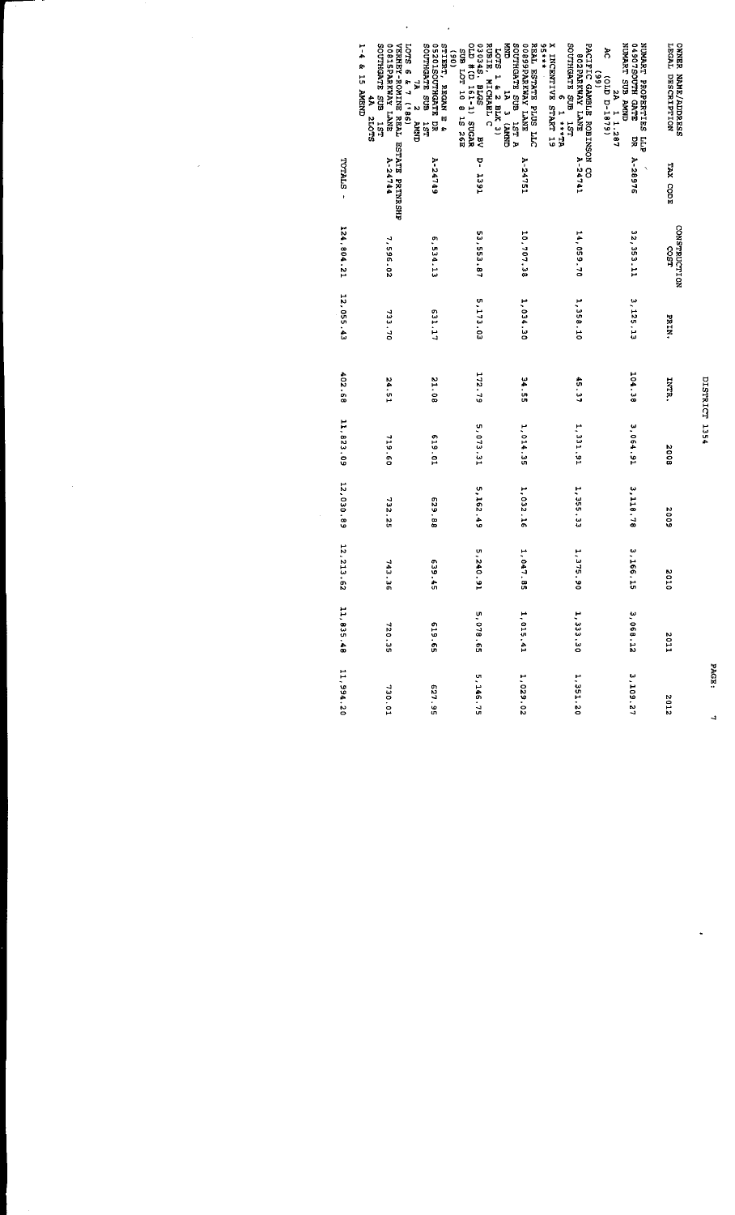|                                                                                                                                                    |                         |                      |               | DISTRICT 1354 |             |           |              |             |           |
|----------------------------------------------------------------------------------------------------------------------------------------------------|-------------------------|----------------------|---------------|---------------|-------------|-----------|--------------|-------------|-----------|
| LEGAL DESCRIPTION<br><b>OWNER NAME/ADDRESS</b>                                                                                                     | TAX CODE                | CONSTRUCTION<br>COST | <b>PRIN.</b>  | INTR.         | 8002        | 2002      | <b>DIOZ</b>  | <b>Z011</b> | 2102      |
| <b>THART SUB AMMUN</b><br>STAS HTUCST0610<br>NUMART PROPERTIES LLP<br>š<br>(6191-1879)<br>2A 1 1.287<br>PR                                         | A-28976<br>$\checkmark$ | 32, 353.11           | 3.125.13      | 104.38        | 3,064.91    | 3,118.78  | 3, 166. 15   | 3 068.12    | 3,109.27  |
| X INCENTIVE START 19<br>95***<br>SOUTHGATE SUB 1ST<br>PACIFIC GAMBLE ROBINSON CO<br><b>SOZPARKWAY LANE</b><br>$\overline{66}$<br>VL+++ I           | A-24741                 | 14,059.70            | 1,358.10      | 45.37         | 1, 331.91   | 1, 355.33 | 1, 375.90    | 1 333.30    | 1,351.20  |
| GNATI SUB TACHTUOS<br>A T21 SUB TACHTUOS<br>DOB9PARKWAY LANE<br>REAL ESTATE PLUS LLES<br>LOTS 1 & 2 BLK 3)                                         | A-24751                 | 10,707.38            | 1,034.30      | ية<br>195     | 1, 014.35   | 1,032.16  | 1,047.85     | 1,015.41    | 1,029.02  |
| OLD # (D 161-1) SUGAR<br><b>030348. BLGS</b><br>RUBIE, MICHAEL C<br>SUB LOT 10 8 15 26E<br>$\overline{M}$                                          | <b>Dec 1391</b>         | 53,553.87            | 5, 173.02     | 172.79        | 5,073.31    | 5,162.49  | 5,240.9<br>٣ | 59.810.65   | 5,146.75  |
| SOUTHGATE SUB<br>05201SOUTHGATE DR<br>STIERT, REGAN E &<br>$\frac{1}{2}$<br>E.<br>$\mathbf{v}$<br>Š<br><b>IST</b>                                  | <b>A-24749</b>          | 6,534.13             | <b>LT</b> TE9 | 21.08         | ED 619      | 629.88    | 539.45       | 53°619      | 527.95    |
| OOSISPARKWAY LANE<br>VERHEY-ROMINE REAL ESTATE PRTNRSHP<br>LOTS 6 & 7 ('86)<br>T-4 & LD PARKH<br><b>EUS STADHTUGE</b><br>\$<br><b>SLOT2</b><br>181 | $A - 24744$             | 7,596.02             | 733.70        | 24.51         | 719.60      | 732.25    | 743.36       | 720.35      | 730.01    |
|                                                                                                                                                    | TOTALS -                | 124,804.21           | 12,055.43     | 402.68        | 11, 823, 09 | 12,030.89 | 12, 213.62   | 11, 835. 48 | 11,994.20 |

PAGE:

 $\frac{1}{2}$ 

 $\ddot{\cdot}$ 

 $\ddot{\phantom{0}}$ 

 $\frac{1}{2}$ 

 $\frac{1}{2}$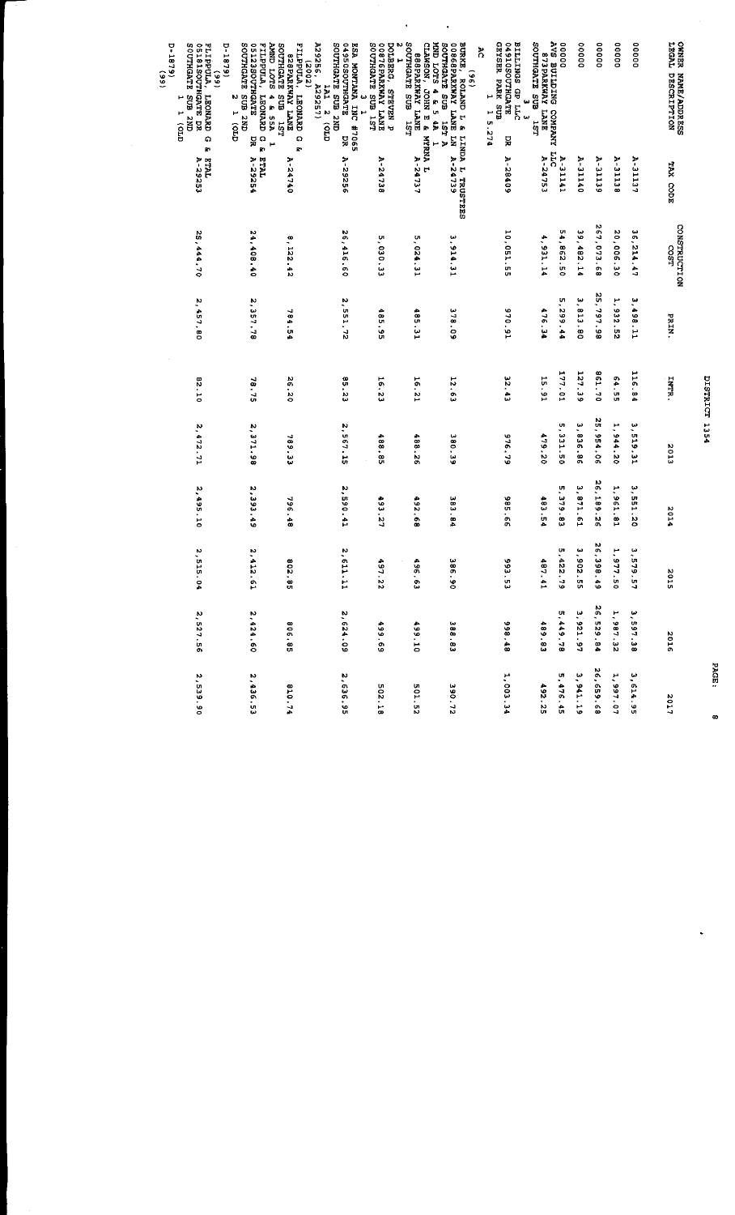| FLIPPULA.<br>$-1879$<br>$\frac{6}{6}$<br><b>LEONARD</b><br>۵<br>Ŗ.<br><b>ETAL</b> | SOUTHGATE<br>SIZZOOTHONTE<br><b>WINDERTIN</b><br><b>RTO1 CINNA</b><br><b>CNZ ENS</b><br>4 & 55A<br>LEONARD G &<br>N<br>٣<br>$\widehat{g}$<br>¥<br>Н<br>ETAL<br>A-29254 | <b>FILPPULA</b><br>SOUTHGATE<br>SPARKWAY LANE<br>ជាទ<br><b>LEONARD</b><br>151<br>Q)<br>Ŗ.<br>2-24740 | A29256, A.<br>(2002)<br>GNZ ENS ELES LENGIS<br>04950SOUTHGATE<br><b>ESA MONTANA INC #7065</b><br>ESA MONTANA INC #7065<br>155551<br><b>LA1</b><br>$\boldsymbol{\kappa}$<br>$\widehat{c}$<br>ă<br>A-29256 | 00876PARKWAY LANE<br>TSI ENS ELEVEROS<br><b>DOLBERG,</b><br>STRVEN P<br>A-24738 | Ν<br>SOUTHGATE SUB<br>CLANSON, JOHN E &<br>MND LOTS 4 & 5 4A<br>SSSPARKWAY LANE<br>1SI<br><b>NYRNIA</b><br>P<br>A-24737<br>٣ | BURKE, ROLAND L &<br>SOUTHGATE SUB<br><b>DOSGEPARKWAY LANE LN</b><br>$\frac{1}{2}$<br><b>A TSI</b><br>LINDA L TRUSTEES<br><b>A-24739</b> | GEYSER PARK SUB<br>STACHTOCO1941E<br>DTT dD SONITIE<br>៊ី<br>٣<br>ω<br>1 5.274<br>ω<br>R<br>A-28409 | AVS BUILDING COMPANY<br>YARAMOO DALGLIUE 2VA<br>SOUTHGATE SUB<br>51<br>51<br>A-24753 | 00000<br>$A-31141$<br>LLC | 00000<br>A-31140             | 00000<br><b>A-31139</b>    | 00000<br>A-31138 | 00000<br>A-31137 | <b>OWNER NAME/ADDRESS</b><br>LEGAL DESCRIPTION |
|-----------------------------------------------------------------------------------|------------------------------------------------------------------------------------------------------------------------------------------------------------------------|------------------------------------------------------------------------------------------------------|----------------------------------------------------------------------------------------------------------------------------------------------------------------------------------------------------------|---------------------------------------------------------------------------------|------------------------------------------------------------------------------------------------------------------------------|------------------------------------------------------------------------------------------------------------------------------------------|-----------------------------------------------------------------------------------------------------|--------------------------------------------------------------------------------------|---------------------------|------------------------------|----------------------------|------------------|------------------|------------------------------------------------|
| A-29253                                                                           |                                                                                                                                                                        |                                                                                                      |                                                                                                                                                                                                          |                                                                                 |                                                                                                                              |                                                                                                                                          |                                                                                                     |                                                                                      |                           |                              |                            |                  |                  | TAX CODE                                       |
| 25,444.70                                                                         | 24,406.40                                                                                                                                                              | 8, 122, 42                                                                                           | 26,416.60                                                                                                                                                                                                | î.<br>EE 080                                                                    | 5,024.31                                                                                                                     | 3,914.31                                                                                                                                 | 10,051.55                                                                                           | 4,931.14                                                                             | 54,862.50                 | 39,482.14                    | 267,073.68                 | 20,006.30        | 36,214.47        | CONSTRUCTION<br><b>COST</b>                    |
| 2, 457.90                                                                         | 2, 357.78                                                                                                                                                              | 784.54                                                                                               | 2.551.72                                                                                                                                                                                                 | 485,95                                                                          | 185.31                                                                                                                       | 378.09                                                                                                                                   | 570.91                                                                                              | 476.34                                                                               | U<br>299.44               | 3, 813, 80                   | 25, 797, 98                | ۲.<br>23.52      | 3,498.11         | PRIN.                                          |
| 22.10                                                                             | 16.78                                                                                                                                                                  | 26.20                                                                                                | 85.23                                                                                                                                                                                                    | 16.23                                                                           | 16.21                                                                                                                        | 12.63                                                                                                                                    | 32.43                                                                                               | 18.91                                                                                | 177.01                    | 127.39                       | 861.70                     | 64.55            | 116.84           | INTR.                                          |
| 2, 472.71                                                                         | 2, 371.98                                                                                                                                                              | 789.33                                                                                               | 2, 567, 15                                                                                                                                                                                               | 488.85                                                                          | 488.26                                                                                                                       | 380.39                                                                                                                                   | 976.79                                                                                              | 479.20                                                                               | U,<br>1331.50             | پ<br>988<br>$\frac{1}{90}$   | 25, 954.06                 | ۲.<br>044.20     | 3,519.31         | 2013                                           |
| 2,495.10                                                                          | 2,393.49                                                                                                                                                               | 796.48                                                                                               | 2,590.41                                                                                                                                                                                                 | 493.27                                                                          | 492.68                                                                                                                       | 383.84                                                                                                                                   | 9.85.6<br>o,                                                                                        | 483.5                                                                                | U)<br>279.83              | ۳<br>871.6<br>⊷              | 26,189.26                  | F<br>.561.<br>r8 | 3,551.20         | 2014                                           |
| <b>2,515</b><br>$\frac{1}{2}$                                                     | 21473<br>ŗ.                                                                                                                                                            | <b>802</b><br>.<br>Ul                                                                                | 2.611<br>F                                                                                                                                                                                               | 497<br>$\frac{1}{2}$                                                            | $\frac{1}{26}$<br>e<br>C                                                                                                     | 386<br>$\frac{1}{\circ}$                                                                                                                 | 893<br>ia<br>C                                                                                      | 181<br>$\frac{1}{2}$                                                                 | 5,422<br>$\ddot{5}$       | 206 <sup>'E</sup><br>.<br>បា | 36.398<br>$\ddot{\bullet}$ | 1,977<br>in<br>O | 3 , 579<br>ŗ,    | یا<br>$\frac{5}{10}$                           |
| 2,527.56                                                                          | 2,424.60                                                                                                                                                               | <b>806.85</b>                                                                                        | 2 624.09                                                                                                                                                                                                 | 69'66                                                                           | 499.10                                                                                                                       | 388.83                                                                                                                                   | 998.48                                                                                              | 489.83                                                                               | 5,449.78                  | 3 921.97                     | 26,529.84                  | 1,987.32         | 3,597.38         | 3016                                           |
| 2,539.9                                                                           | 2,436.5                                                                                                                                                                | 1.018                                                                                                | 2,636.9                                                                                                                                                                                                  | <b>502.1</b>                                                                    | 501.5                                                                                                                        | 390.7                                                                                                                                    | 1,003.3                                                                                             | 492.2                                                                                | 5,476.4                   | 3,941.1                      | 26,659.6                   | 1, 997.0         | 3,614.9          | <b>Z01</b>                                     |

l.

DISTRICT 1354

PAGE: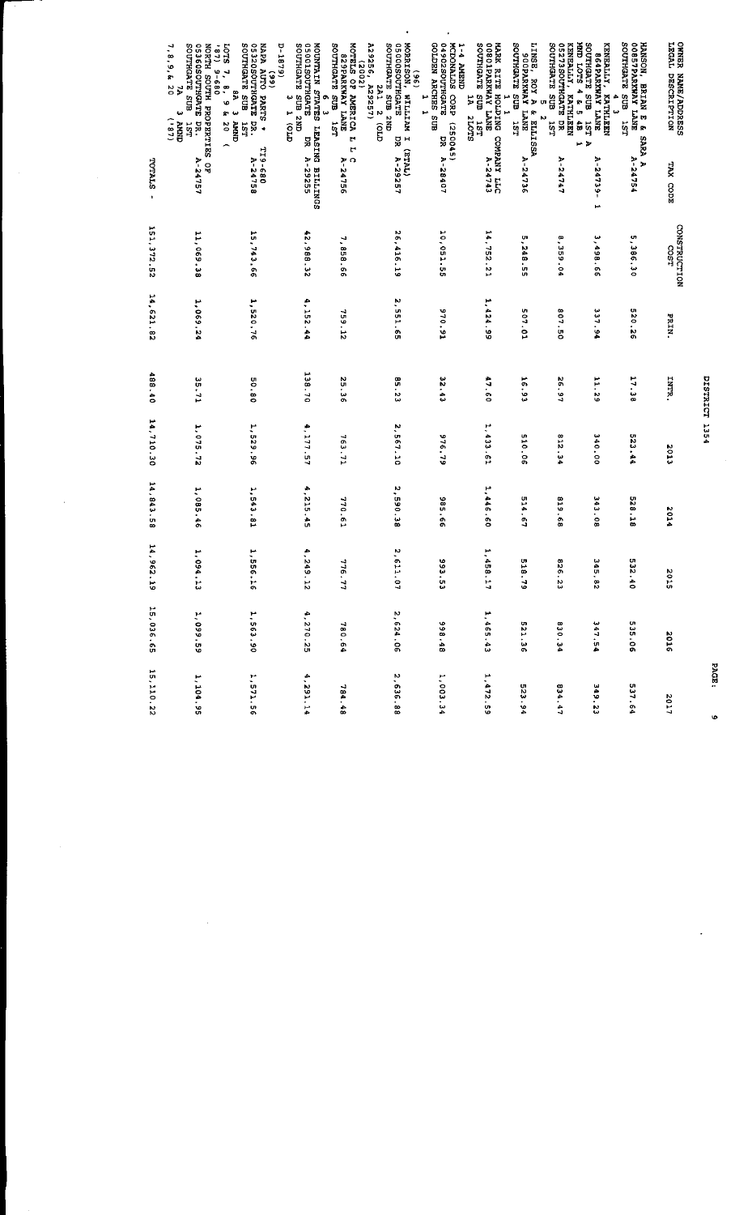| <b>OWER NAME/ADDRESS</b><br>LEGAL DESCRIPTION<br>TAX CODE                                                                                                                    | CONSTRUCTION<br>1500 | PRIN.         | INTR.  | <b>CTOZ</b> | 2014      | 2015                      | 3016      | 2027        |
|------------------------------------------------------------------------------------------------------------------------------------------------------------------------------|----------------------|---------------|--------|-------------|-----------|---------------------------|-----------|-------------|
| SOUTHGATE SUB<br>HANSON, BRIAN E &<br>00857PARKWAY LANE<br><b>181</b><br><b>SARA A</b><br>A-24754                                                                            | 5,386.30             | 520.26        | 17.38  | 523.44      | 528.18    | ZI 3<br>$\ddot{\bullet}$  | 535.06    | 537.64      |
| SOUTHGATE SUB<br>KENEALLY,<br>SCARRYNAY LANE<br>KEETHLEN<br>4<br>ω<br><b>IST A</b><br>A-24739<br>H                                                                           | 3,498.66             | <b>137.94</b> | 11.29  | 340.00      | 343.08    | s to<br>82                | 347.54    | 349.23      |
| 05273SOUTHGATE DR<br>MND LOTS 4 & 5 4B<br>SOUTHGATE SUB<br><b>KENEALLY, KATHLEEN</b><br>181<br><b>ب</b><br>A-24747                                                           | 8,359.04             | 807.50        | 26.97  | 812.34      | 83.618    | 928<br>$\frac{2}{3}$      | 830.34    | 834.47      |
| LINSE, ROY A & ELLISSA<br>SOUTHGATE SUB<br><b>SOGPARKWAY LANE</b><br><b>181</b><br>A-24736                                                                                   | 5,248.55             | 507.01        | 16.91  | 310.06      | 514.67    | 815<br>$\frac{1}{2}$      | 521.36    | 523.94      |
| MARK RITE HOLDING COMPANY LLC<br>00801PARKWAY LANE<br>SOUTHGATE SUB 1ST<br>SOUTHGATE SUB 1ST<br>5<br>٣<br><b>2TOTS</b>                                                       | 14,752.21            | 1,424.99      | 47.60  | 1, 433.61   | 1,446.60  | 1,458<br>Ë                | 1.465.43  | 1,472.59    |
| GOLDEN ARCHES SUB<br>STAGHTUC22024PO<br>MCDONALDS CORP (250045)<br>1-4 AMEND<br>٣<br>ă<br>A-28407                                                                            | 10,051.55            | 570.91        | 32.43  | 976.79      | 985.66    | 566<br>.<br>U             | 89.88     | 1,003.34    |
| A29256, A29257)<br><b>GEGOOSCUTHGATE</b><br>SOUTHGATE SUB 2ND<br><b>MORRISON</b><br>$\frac{1}{2}$<br>2A1<br>I WUITTIM<br>$\boldsymbol{N}$<br>ÎΘ.<br>딣<br>(TVLE)<br>A-29257   | 26,416.19            | 2 551 65      | 85.23  | 2,567.10    | 2,590.38  | 2,611<br>$\ddot{0}$       | 2.624.06  | 2,636.88    |
| MOTELS OF AMERICA L<br>HISTORIKAN TANE<br>SOUTHGATE SUB<br>(2002)<br>ដូ<br>M<br>$C$<br>A-24756                                                                               | 7,858.66             | 759.12        | 25.36  | 763.73      | 770.61    | 3176<br>77                | 780.64    | 784.48      |
| CONTECTS SUBSTRIES<br>1-1879)<br>MOUNTAIN STATES LEASING BILLINGS<br>05001SOUTHGATE DR A-29255<br>¢<br>$\frac{1}{2}$                                                         | 42,988.32            | 4, 152.44     | 138.70 | 4, 177. 57  | 4,215.45  | 4, 249<br>$\frac{17}{10}$ | 4,270.25  | 4,291.14    |
| SOUTHGATE SUB<br>05320SOUTHGATE DR.<br>NAPA AUTO PARTS *<br>TOTS 7<br>(66)<br>$\cdot$<br>ę<br>v<br>m w<br><b>AMMD</b><br>20<br>181<br>÷<br>TI9-680<br>A-24758                | 15,743.66            | 1,520.76      | 08.09  | 1,529.96    | 1,543.81  | 1,556<br>$\frac{1}{2}$    | 1.563.90  | 1,571.56    |
| $7, 8, 9, 6, 20$<br>7, 8, 9, 6<br>SOUTHGATE SUB<br>G5360SOUTHGATE DR.<br>NORTH SOUTH PROPERTIES OF<br>(67)<br>$089 - 6$<br><b>CININY</b> E<br>(181)<br><b>JST</b><br>A-24757 | 11,069.18            | 1,069.24      | 35.71  | 1,075.72    | 1,085.46  | 1,094<br>r,               | 1,099.59  | 1,104.95    |
| TOTALS<br>ł                                                                                                                                                                  | 151, 372. 52         | 14,621,82     | 488.40 | 14,710.30   | 14,843.58 | 14,962<br>5               | 15 036.65 | 15, 110, 22 |

 $\ddot{\phantom{0}}$ 

ł,

 $\ddot{\phantom{1}}$ 

PAGE:

DISTRICT 1354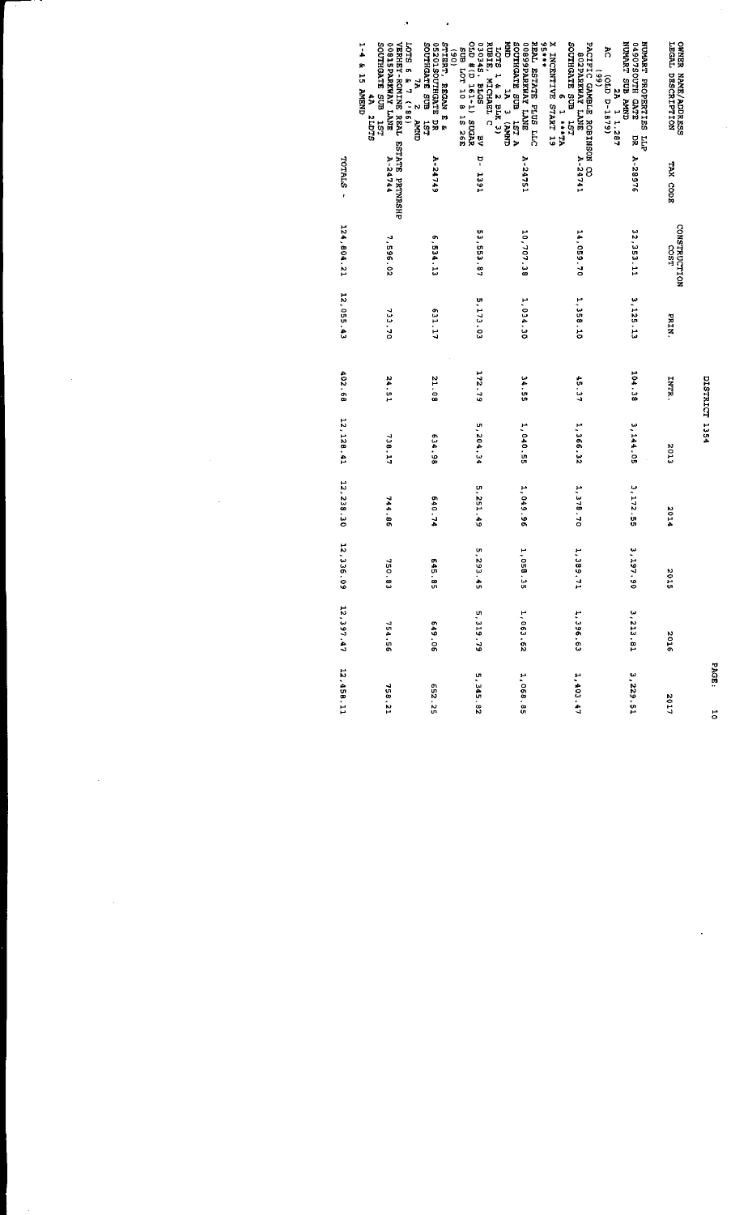|                                                                                                                                                                               |                |                      |              | <b>DISTRICT 1354</b> |             |           |                |             | .<br>.<br>. |
|-------------------------------------------------------------------------------------------------------------------------------------------------------------------------------|----------------|----------------------|--------------|----------------------|-------------|-----------|----------------|-------------|-------------|
| LEGAL DESCRIPTION<br>OWNER NAME/ADDRESS                                                                                                                                       | TAX CODE       | CONSTRUCTION<br>COST | <b>PRIN.</b> | INTR.                | 2013        | 1014      | <b>SP15</b>    | 3102        | 1102        |
| <b>CUVA EUS LARVUN</b><br>NUMART PROPERTIES LLP<br>STAD HTUCRT00400<br>នី<br>(6481-4 d10)<br>č<br>1 1.287<br>덣                                                                | A-28976        | 32,353.11            | 3, 125, 13   | 104.38               | 3,144.05    | 3,172.55  | 3,197.90       | 3, 213, 81  | 3,229.51    |
| X INCENTIVE START 19<br>PACIFIC GAMBLE ROBINSON CO<br>TSI HOS ELECTRONICS<br>SUALI YANKESOS<br>$\overline{6}$<br>$\bullet$<br>VL.  T                                          | A-24741        | 14,059.70            | 1,358.10     | 45.37                | 1,366.32    | 1,378.70  | 1,389.71       | 1,396.63    | 1,403.47    |
| +++56<br><b>CINAL</b> E <b>VI</b><br><b>CINAL</b> E <b>VI</b><br><b>CINAL</b><br><b>CINAL</b><br>SMAL YAWRENG800<br>REAL ESTATE PLUS LLC                                      | A-24751        | 10,707.38            | 1 034 30     | 34.55                | 1,040.55    | 1,049.96  | 1,058.35       | 1,063.62    | 1,068.85    |
| 392 ST 9 01 LOT 5035<br>2005 TCL 19 10 12<br>SDTE SPEDED<br>LOTS 1 & 2 BLK 3)<br>RUBIE, MICHAEL C<br>$\overline{a}$                                                           | <b>Det</b> - d | 53,553.87            | 5.173.02     | 272.79               | 5,204.34    | 5,251.49  | 5,293.<br>ů    | 5,319.79    | 5,345.82    |
| STIERT, REGAN E &<br>O5201SOUTHGATE DR<br>SOUTHGATE SUB<br>$\frac{6}{6}$<br>131                                                                                               | $A - 247749$   | 6,534.13             | 11.159       | 21.08                | 634.98      | 640.74    | $6 + 5$<br>°   | 649.06      | 52.259      |
| 1-4 & 15 AMEND<br>TSI HOS SINGHLOS<br>OOSTEPARKWAY LANE<br>VERHEY-ROMINE REAL ESTATE PRINRSHP<br>$\begin{array}{ccccc}\n\text{1.3}\n\end{array}$ LOTS 6 & 7 (186)<br>4A 2LDTS | A-24744        | 7,596.02             | 733.70       | 24.51                | 738.17      | 744.86    | 750.<br>e<br>C | 754.56      | 758.21      |
|                                                                                                                                                                               | TOTALS -       | 124,804.21           | 12, 055.43   | 402.68               | 12, 128. 41 | 12,238.30 | 12.336.1<br>Ş  | 12, 397, 47 | 12,458.11   |

PAGE:

 $\frac{1}{2}$ 

 $\ddot{\phantom{0}}$ 

 $\ddot{\phantom{0}}$ 

 $\ddot{\phantom{0}}$ 

 $\ddot{\cdot}$ 

ý,